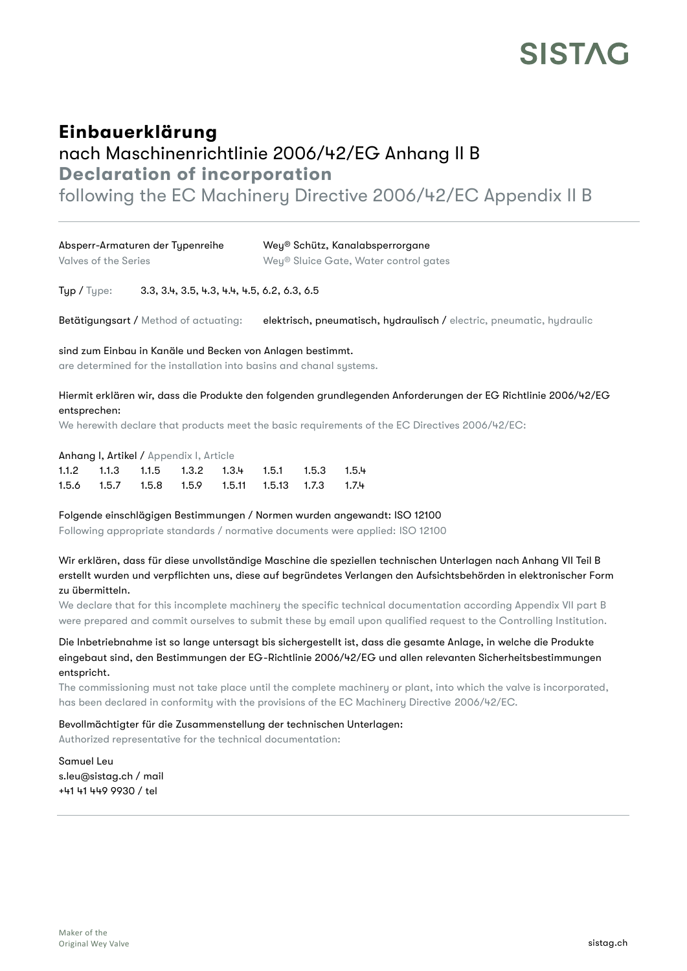## **SISTAG**

## Einbauerklärung nach Maschinenrichtlinie 2006/42/EG Anhang II B Declaration of incorporation

following the EC Machinery Directive 2006/42/EC Appendix II B

| Absperr-Armaturen der Typenreihe | Wey® Schütz, Kanalabsperrorgane       |
|----------------------------------|---------------------------------------|
| Valves of the Series             | Wey® Sluice Gate, Water control gates |

Typ / Type: 3.3, 3.4, 3.5, 4.3, 4.4, 4.5, 6.2, 6.3, 6.5

Betätigungsart / Method of actuating: elektrisch, pneumatisch, hydraulisch / electric, pneumatic, hydraulic

sind zum Einbau in Kanäle und Becken von Anlagen bestimmt.

are determined for the installation into basins and chanal systems.

## Hiermit erklären wir, dass die Produkte den folgenden grundlegenden Anforderungen der EG Richtlinie 2006/42/EG entsprechen:

We herewith declare that products meet the basic requirements of the EC Directives 2006/42/EC:

Anhang I, Artikel / Appendix I, Article

|  |  | $1.1.2$ $1.1.3$ $1.1.5$ $1.3.2$ $1.3.4$ $1.5.1$ $1.5.3$ $1.5.4$ |  |
|--|--|-----------------------------------------------------------------|--|
|  |  | 1.5.6  1.5.7  1.5.8  1.5.9  1.5.11  1.5.13  1.7.3  1.7.4        |  |

Folgende einschlägigen Bestimmungen / Normen wurden angewandt: ISO 12100

Following appropriate standards / normative documents were applied: ISO 12100

Wir erklären, dass für diese unvollständige Maschine die speziellen technischen Unterlagen nach Anhang VII Teil B erstellt wurden und verpflichten uns, diese auf begründetes Verlangen den Aufsichtsbehörden in elektronischer Form zu übermitteln.

We declare that for this incomplete machinery the specific technical documentation according Appendix VII part B were prepared and commit ourselves to submit these by email upon qualified request to the Controlling Institution.

Die Inbetriebnahme ist so lange untersagt bis sichergestellt ist, dass die gesamte Anlage, in welche die Produkte eingebaut sind, den Bestimmungen der EG-Richtlinie 2006/42/EG und allen relevanten Sicherheitsbestimmungen entspricht.

The commissioning must not take place until the complete machinery or plant, into which the valve is incorporated, has been declared in conformity with the provisions of the EC Machinery Directive 2006/42/EC.

Bevollmächtigter für die Zusammenstellung der technischen Unterlagen:

Authorized representative for the technical documentation:

Samuel Leu s.leu@sistag.ch / mail +41 41 449 9930 / tel